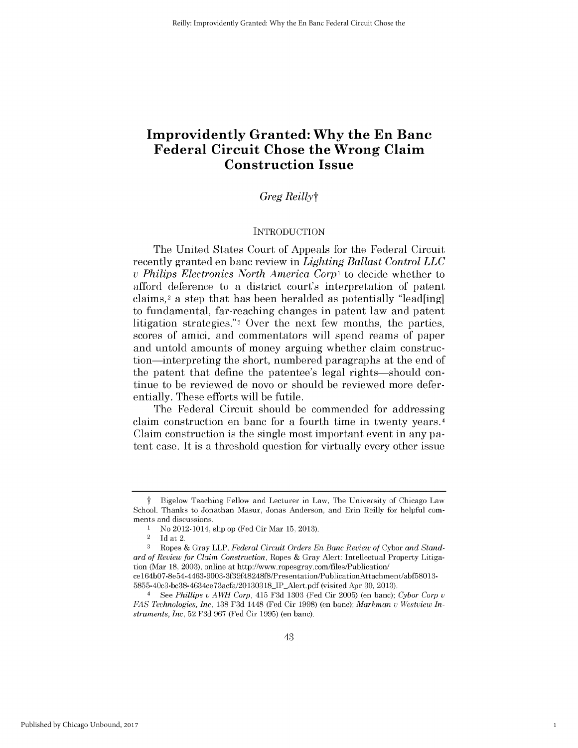# **Improvidently Granted: Why the En Banc Federal Circuit Chose the Wrong Claim Construction Issue**

# *Greg Reillyt*

#### **INTRODUCTION**

The United States Court of Appeals for the Federal Circuit recently granted en banc review in *Lighting Ballast Control LLC v Philips Electronics North America Corp1* to decide whether to afford deference to a district court's interpretation of patent claims,2 a step that has been heralded as potentially "lead[ing] to fundamental, far-reaching changes in patent law and patent litigation strategies."3 Over the next few months, the parties, scores of amici, and commentators will spend reams of paper and untold amounts of money arguing whether claim construction-interpreting the short, numbered paragraphs at the end of the patent that define the patentee's legal rights-should continue to be reviewed de novo or should be reviewed more deferentially. These efforts will be futile.

The Federal Circuit should be commended for addressing claim construction en banc for a fourth time in twenty years. <sup>4</sup> Claim construction is the single most important event in any patent case. It *is* a threshold question for virtually every other issue

1

t Bigelow Teaching Fellow and Lecturer in Law, The University of Chicago Law School. Thanks to Jonathan Masur, Jonas Anderson, and Erin Reilly for helpful comments and discussions.

**I** No 2012-1014, slip op (Fed Cir Mar **15, 2013).**

 $\frac{2}{3}$  Id at 2.

**<sup>3</sup>** Ropes **&** Gray LLP, *Federal Circuit Orders En Banc Review of* Cybor *and Standard of Review for Claim Construction,* Ropes **&** Gray Alert: Intellectual Property Litigation (Mar **18, 2003),** online at http://www.ropesgray.com/files/Publication/ ce 164b07-8e54-4463-9003-3f39f48248f8/Presentation/PublicationAttachment/abf58013-

<sup>5855-40</sup>c3-bc38-4634ce73acfa/20130318IP Alert.pdf (visited Apr **30, 2013).**

<sup>4</sup>**See** *Phillips u AWH Corp,* 415 **F3d 1303** (Fed Cir **2005)** (en banc); *Cybor Corp u FAS Technologies, Inc,* **138 F3d** 1448 (Fed Cir **1998)** (en banc); *Markman u Westview Instruments, Inc,* **52 F3d 967** (Fed Cir **1995)** (en banc).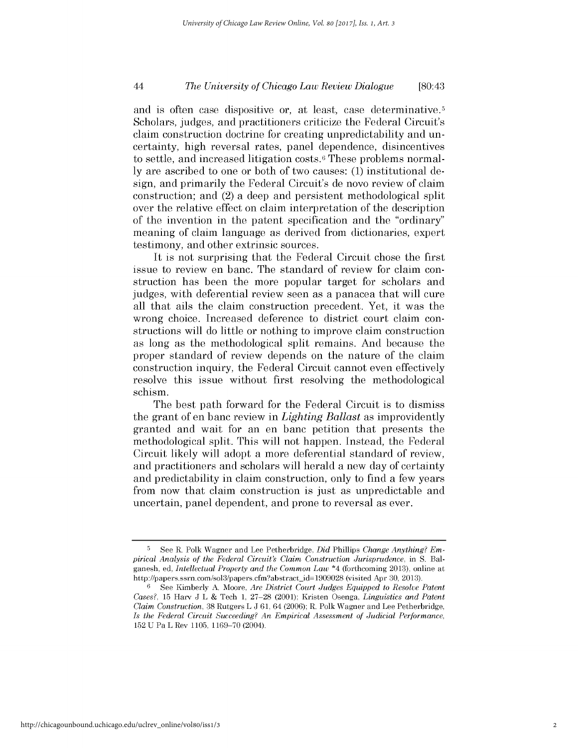# *The University of Chicago Law Review Dialogue* 44 [80:43

and is often case dispositive or, at least, case determinative.5 Scholars, judges, and practitioners criticize the Federal Circuit's claim construction doctrine for creating unpredictability and uncertainty, **high** reversal rates, panel dependence, disincentives to settle, and increased litigation costs. 6 These problems normal**ly** are ascribed to one or both of two causes: **(1)** institutional design, and primarily the Federal Circuit's de novo review of claim construction; and (2) a deep and persistent methodological split over the relative effect on claim interpretation of the description of the invention in the patent specification and the "ordinary" meaning of claim language as derived from dictionaries, expert testimony, and other extrinsic sources.

It is not surprising that the Federal Circuit chose the first issue to review en banc. The standard of review for claim construction has been the more popular target for scholars and judges, with deferential review seen as a panacea that will cure all that ails the claim construction precedent. Yet, it was the wrong choice. Increased deference to district court claim constructions will do little or nothing to improve claim construction as long as the methodological split remains. And because the proper standard of review depends on the nature of the claim construction inquiry, the Federal Circuit cannot even effectively resolve this issue without first resolving the methodological *schism.*

The best path forward for the Federal Circuit is to dismiss the grant of en banc review in *Lighting Ballast* as improvidently granted and wait for an en banc petition that presents the methodological split. This will not happen. Instead, the Federal Circuit likely will adopt a more deferential standard of review, and practitioners and scholars will herald a new day of certainty and predictability in claim construction, only to find a few years from now that claim construction is just as unpredictable and uncertain, panel dependent, and prone to reversal as ever.

**<sup>5</sup> See** R. Polk Wagner and Lee Petherbridge, *Did Phillips Change Anything? Empirical Analysis of the Federal Circuit's Claim Construction Jurisprudence,* in **S.** Balganesh, ed, *Intellectual Property and the Common Law* \*4 (forthcoming **2013),** online at http://papers.ssrn.com/sol3/papers.cfm?abstract\_id=1909028 (visited Apr 30, 2013).

**<sup>6</sup>**See Kimberly **A.** Moore, *Are District Court Judges Equipped to Resolve Patent Cases?,* **15** Harv **J** L **&** Tech **1, 27-28** (2001); Kristen Osenga, *Linguistics and Patent Claim Construction,* **38** Rutgers L **J 61,** 64 **(2006);** R. Polk Wagner and Lee Petherbridge, *Is the Federal Circuit Succeeding? An Empirical Assessment of Judicial Performance,* **152 U** Pa L Rev **1105, 1169-70** (2004).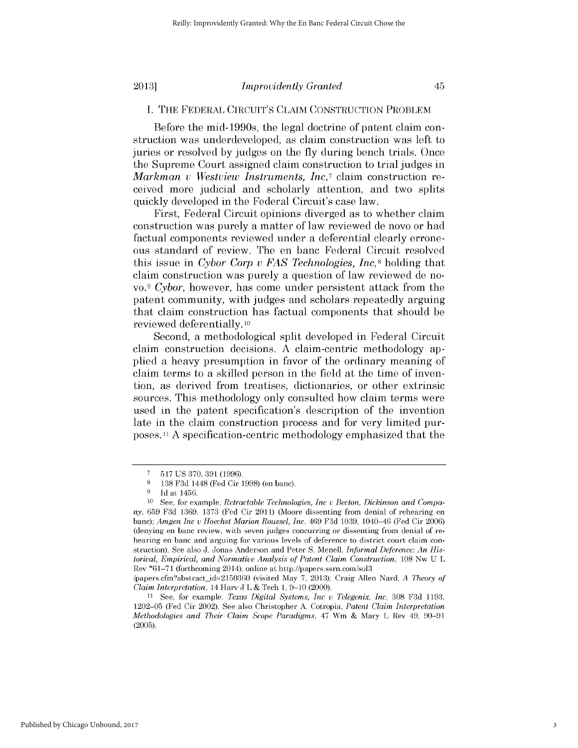# **I. THE** FEDERAL **CIRCUIT'S CLAIM CONSTRUCTION** PROBLEM

Before the mid-1990s, the legal doctrine of patent claim construction was underdeveloped, as claim construction was left to juries or resolved **by** judges on the **fly** during bench trials. Once the Supreme Court assigned claim construction to trial judges in *Markman u Westview Instruments, Inc,7* claim construction received more judicial and scholarly attention, and two splits quickly developed in the Federal Circuit's case law.

First, Federal Circuit opinions diverged as to whether claim construction was purely a matter of law reviewed de novo or had factual components reviewed under a deferential clearly erroneous standard of review. The en banc Federal Circuit resolved this issue in *Cybor Corp v FAS Technologies, Inc,8* holding that claim construction was purely a question of law reviewed de no*vo. <sup>9</sup>Cybor,* however, has come under persistent attack from the patent community, with judges and scholars repeatedly arguing that claim construction has factual components that should be reviewed deferentially. **10**

Second, a methodological split developed in Federal Circuit claim construction decisions. **A** claim-centric methodology applied a heavy presumption in favor of the ordinary meaning of claim terms to a skilled person in the field at the time of invention, as derived from treatises, dictionaries, or other extrinsic sources. This methodology only consulted how claim terms were used in the patent specification's description of the invention late in the claim construction process and for very limited purposes." **A** specification-centric methodology emphasized that the

**<sup>7</sup> 517 US 370, 391 (1996).**

**<sup>8 138</sup> F3d** 1448 (Fed Cir **1998)** (en banc).

**<sup>9</sup> Id** at 1456.

**<sup>10</sup>** See, for example, *Retractable Technologies, Inc u Becton, Dickinson and Company,* **659 F3d 1369, 1373** (Fed Cir 2011) (Moore dissenting from denial of rehearing en banc); *Amgen Inc u Hoechst Marion Roussel, Inc,* 469 **F3d 1039,** 1040-46 (Fed Cir **2006)** (denying en banc review, with seven judges concurring or dissenting from denial of rehearing en banc and arguing for various levels of deference to district court claim construction). See also **J.** Jonas Anderson and Peter **S.** Menell, *Informal Deference: An Historical, Empirical, and Normative Analysis of Patent Claim Construction,* **108** Nw **U** L Rev **\*61-71** (forthcoming 2014), online at http://papers.ssrn.com/sol3

<sup>/</sup>papers.cfmabstract id=2150360 (visited May **7, 2013);** Craig Allen Nard, *A Theory of Claim Interpretation,* 14 Harv **J** L **&** Tech **1, 9-10** (2000).

**<sup>11</sup>** See, for example, *Texas Digital Systems, Inc u Telegenix, Inc,* **308 F3d 1193, 1202-05** (Fed Cir 2002). See also Christopher **A.** Cotropia, *Patent Claim Interpretation Methodologies and Their Claim Scope Paradigms,* 47 Wm **&** Mary L Rev 49, **90-91 (2005).**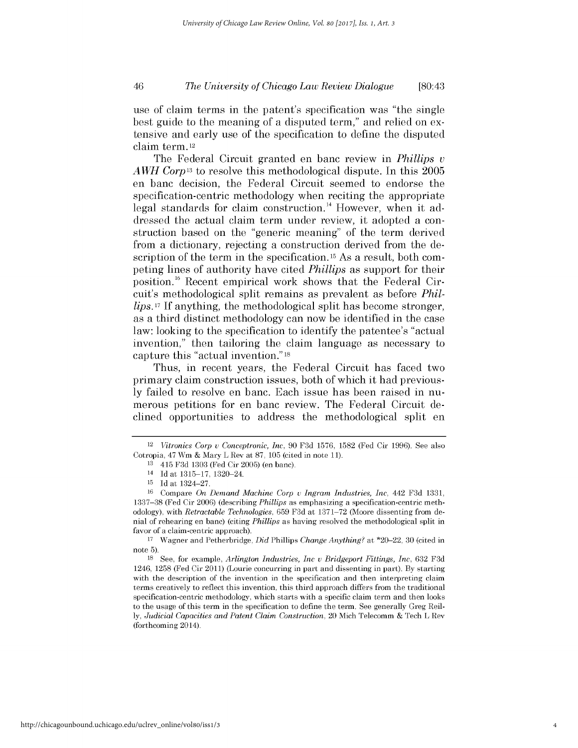# *The University of Chicago Law Review Dialogue* 46 [80:43

use of claim terms in the patent's specification was "the single best guide to the meaning of a disputed term," and relied on extensive and early use of the specification to define the disputed claim term. 12

The Federal Circuit granted en banc review in *Phillips v AWH Corpl3* to resolve this methodological dispute. In this **2005** en banc decision, the Federal Circuit seemed to endorse the specification-centric methodology when reciting the appropriate legal standards for claim construction.<sup>14</sup> However, when it addressed the actual claim term under review, it adopted a construction based on the "generic meaning" of the term derived from a dictionary, rejecting a construction derived from the description of the term in the specification.<sup>15</sup> As a result, both competing lines of authority have cited *Phillips* as support for their position.16 Recent empirical work shows that the Federal Circuit's methodological split remains as prevalent as before *Phillips.17* **If** anything, the methodological split has become stronger, as a third distinct methodology can now be identified in the case law: looking to the specification to identify the patentee's "actual invention," then tailoring the claim language as necessary to capture this "actual invention." **<sup>18</sup>**

Thus, in recent years, the Federal Circuit has faced two primary claim construction issues, both of which it had previous**ly** failed to resolve en banc. Each issue has been raised in numerous petitions for en banc review. The Federal Circuit declined opportunities to address the methodological split en

**<sup>17</sup>**Wagner and Petherbridge, *Did Phillips Change Anything?* at \*20-22, **30** (cited in note **5).**

**<sup>18</sup>**See, for example, *Arlington Industries, Inc v Bridgeport Fittings, Inc,* **632 F3d** 1246, **1258** (Fed Cir 2011) (Lourie concurring in part and dissenting in part). **By** starting with the description of the invention in the specification and then interpreting claim terms creatively to reflect this invention, this third approach differs from the traditional specification-centric methodology, which starts with a specific claim term and then looks to the usage of this term in the specification to define the term. See generally Greg Reil*ly, Judicial Capacities and Patent Claim Construction,* 20 Mich Telecomm **&** Tech L Rev (forthcoming 2014).

*<sup>12</sup> Vitronics Corp u Conceptronic, Inc,* **90 F3d 1576, 1582** (Fed Cir **1996).** See also Cotropia, 47 Wm **&** Mary L Rev at **87, 105** (cited in note **11).**

**<sup>13</sup>**415 **F3d 1303** (Fed Cir **2005)** (en banc).

<sup>14</sup>**Id** at **1315-17,** 1320-24.

**<sup>15</sup> Id** at 1324-27.

**<sup>16</sup>**Compare *On Demand Machine Corp v Ingram Industries, Inc,* 442 **F3d 1331, 1337-38** (Fed Cir **2006)** (describing *Phillips* as emphasizing a specification-centric methodology), with *Retractable Technologies,* **659 F3d** at **1371-72** (Moore dissenting from denial of rehearing en banc) (citing *Phillips* as having resolved the methodological split in favor of a claim-centric approach).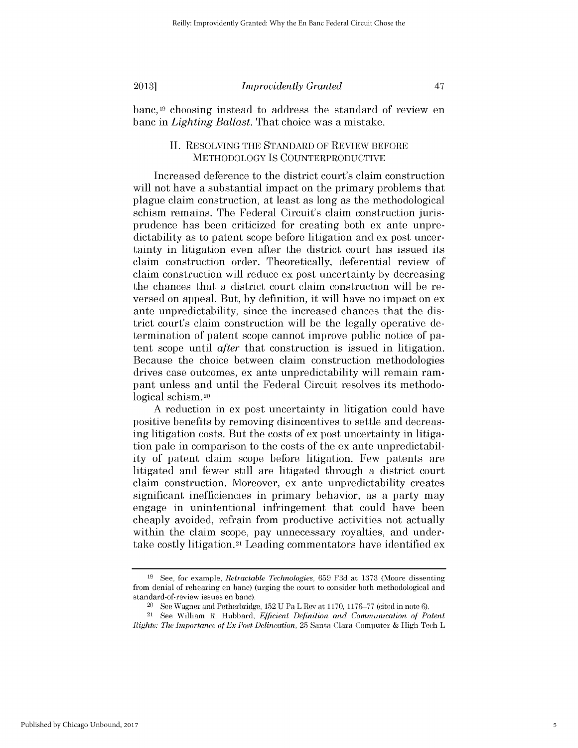banc,19 choosing instead to address the standard of review en banc in *Lighting Ballast.* That choice was a mistake.

# **II. RESOLVING THE STANDARD** OF REVIEW BEFORE METHODOLOGY **IS COUNTERPRODUCTIVE**

Increased deference to the district court's claim construction will not have a substantial impact on the primary problems that plague claim construction, at least as long as the methodological schism remains. The Federal Circuit's claim construction jurisprudence has been criticized for creating both ex ante unpredictability as to patent scope before litigation and ex post uncertainty in litigation even after the district court has issued its claim construction order. Theoretically, deferential review of claim construction will reduce ex post uncertainty **by** decreasing the chances that a district court claim construction will be reversed on appeal. But, **by** definition, it will have no impact on ex ante unpredictability, since the increased chances that the **dis**trict court's claim construction will be the legally operative determination of patent scope cannot improve public notice of patent scope until *after* that construction is issued in litigation. Because the choice between claim construction methodologies drives case outcomes, ex ante unpredictability will remain rampant unless and until the Federal Circuit resolves its methodological schism.20

**A** reduction in ex post uncertainty in litigation could have positive benefits **by** removing disincentives to settle and decreasing litigation costs. But the costs of ex post uncertainty in litigation pale in comparison to the costs of the ex ante unpredictability of patent claim scope before litigation. Few patents are litigated and fewer still are litigated through a district court claim construction. Moreover, ex ante unpredictability creates significant inefficiencies in primary behavior, as a party may engage in unintentional infringement that could have been cheaply avoided, refrain from productive activities not actually within the claim scope, pay unnecessary royalties, and undertake costly litigation.21 Leading commentators have identified ex

**<sup>19</sup> See,** for example, *Retractable Technologies,* **659 F3d** at **1373** (Moore dissenting from denial of rehearing en bane) (urging the court to consider both methodological and standard-of-review issues en banc).

<sup>20</sup>See Wagner and Petherbridge, **152 U** Pa L Rev at **1170, 1176-77** (cited in note **6).**

<sup>21</sup>**See** William R. Hubbard, *Efficient Definition and Communication of Patent Rights: The Importance of Ex Post Delineation,* **25** Santa Clara Computer **&** High Tech L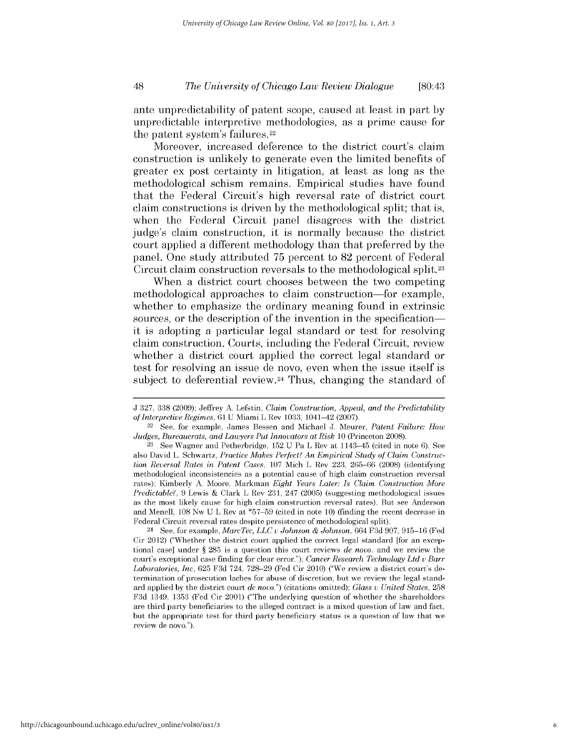ante unpredictability of patent scope, caused at least in part **by** unpredictable interpretive methodologies, as a prime cause for the patent system's failures.22

Moreover, increased deference to the district court's claim construction is unlikely to generate even the limited benefits of greater ex post certainty in litigation, at least as long as the methodological schism remains. Empirical studies have found that the Federal Circuit's **high** reversal rate of district court claim constructions is driven **by** the methodological split; that **is,** when the Federal Circuit panel disagrees with the district judge's claim construction, it is normally because the district court applied a different methodology than that preferred **by** the panel. One study attributed **75** percent to **82** percent of Federal Circuit claim construction reversals to the methodological split.23

When a district court chooses between the two competing methodological approaches to claim construction-for example, whether to emphasize the ordinary meaning found in extrinsic sources, or the description of the invention in the specificationit is adopting a particular legal standard or test for resolving claim construction. Courts, including the Federal Circuit, review whether a district court applied the correct legal standard or test for resolving an issue de novo, even when the issue itself **is** subject to deferential review.<sup>24</sup> Thus, changing the standard of

<sup>24</sup>**See,** for example, *MarcTec, LLC v Johnson & Johnson,* 664 **F3d 907, 915-16** (Fed Cir 2012) ("Whether the district court applied the correct legal standard [for an exceptional case] under *§* **285** is a question this court reviews *de novo,* and we review the court's exceptional case finding for clear error."); *Cancer Research Technology Ltd v Barr Laboratories, Inc,* **625 F3d** 724, **728-29** (Fed Cir 2010) ("We review a district court's determination of prosecution laches for abuse of discretion, but we review the legal standard applied **by** the district court *de novo.")* (citations omitted); *Glass v United States,* **258 F3d** 1349, **1353** (Fed Cir 2001) ("The underlying question of whether the shareholders are third party beneficiaries to the alleged contract is a mixed question of law and fact, but the appropriate test for third party beneficiary status is a question of law that we review de novo.").

**J 327, 338 (2009);** Jeffrey **A.** Lefstin, *Claim Construction, Appeal, and the Predictability of Interpretive Regimes,* **61 U** Miami L Rev **1033,** 1041-42 **(2007).**

<sup>22</sup> See, for example, James Bessen and Michael **J.** Meurer, *Patent Failure: How Judges, Bureaucrats, and Lawyers Put Innovators at Risk* **10** (Princeton **2008). 23 See** Wagner and Petherbridge, **152 U** Pa L Rev at 1143-45 (cited in note **6).** See

also David L. Schwartz, *Practice Makes Perfect? An Empirical Study of Claim Construction Reversal Rates in Patent Cases,* **107** Mich L Rev **223,** *265-66* **(2008)** (identifying methodological inconsistencies as a potential cause of high claim construction reversal rates); Kimberly **A.** Moore, Markman *Eight Years Later: Is Claim Construction More Predictable?,* **9** Lewis **&** Clark L Rev **231,** 247 **(2005)** (suggesting methodological issues as the most likely cause for high claim construction reversal rates). But see Anderson and Menell, **108** Nw **U** L Rev at **\*57-59** (cited in note **10)** (finding the recent decrease in Federal Circuit reversal rates despite persistence of methodological split).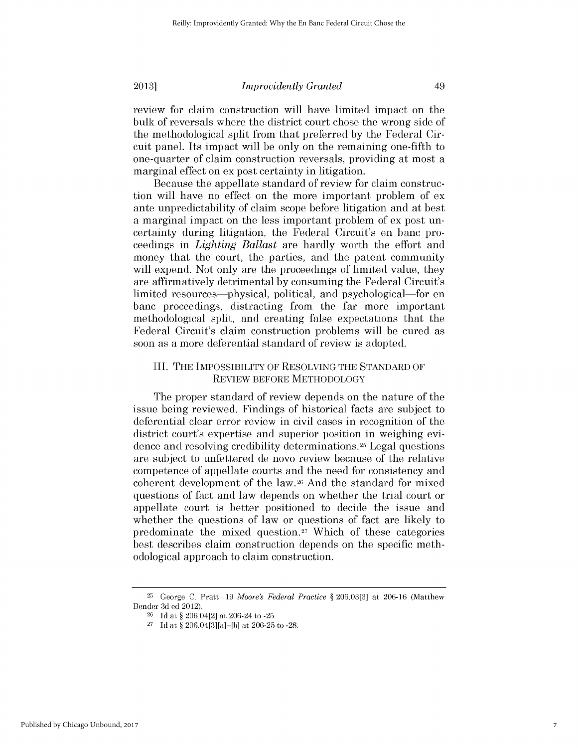review for claim construction will have limited impact on the bulk of reversals where the district court chose the wrong side of the methodological split from that preferred **by** the Federal Circuit panel. Its impact will be only on the remaining one-fifth to one-quarter of claim construction reversals, providing at most a marginal effect on ex post certainty in litigation.

Because the appellate standard of review for claim construction will have no effect on the more important problem of ex ante unpredictability of claim scope before litigation and at best a marginal impact on the less important problem of ex post uncertainty during litigation, the Federal Circuit's en banc proceedings in *Lighting Ballast* are hardly worth the effort and money that the court, the parties, and the patent community will expend. Not only are the proceedings of limited value, they are affirmatively detrimental **by** consuming the Federal Circuit's limited resources-physical, political, and psychological-for en banc proceedings, distracting from the far more important methodological split, and creating false expectations that the Federal Circuit's claim construction problems will be cured as soon as a more deferential standard of review is adopted.

#### III. **THE** IMPOSSIBILITY OF **RESOLVING THE STANDARD** OF REVIEW BEFORE METHODOLOGY

The proper standard of review depends on the nature of the issue being reviewed. Findings of historical facts are subject to deferential clear error review in **civil** cases in recognition of the district court's expertise and superior position in weighing evidence and resolving credibility determinations.25 Legal questions are subject to unfettered de novo review because of the relative competence of appellate courts and the need for consistency and coherent development of the law.26 And the standard for mixed questions of fact and law depends on whether the trial court or appellate court is better positioned to decide the issue and whether the questions of law or questions of fact are likely to predominate the mixed question.27 Which of these categories best describes claim construction depends on the specific methodological approach to claim construction.

**<sup>25</sup>**George **C.** Pratt, **19** *Moore's Federal Practice §* **206.03[3]** at **206-16** (Matthew Bender **3d** ed 2012).

**<sup>26</sup>Id** at *§* 206.04[2] at 206-24 to **-25.**

**<sup>27</sup>Id** at *§* 206.04[3][a]-[b] at **206-25** to **-28.**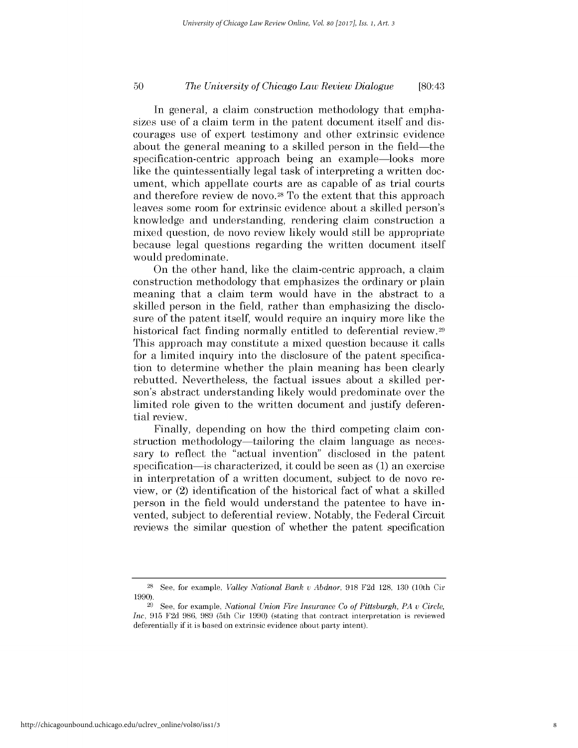# *The University of Chicago Law Review Dialogue* **50** [80:43

In general, a claim construction methodology that emphasizes use of a claim term in the patent document itself and **dis**courages use of expert testimony and other extrinsic evidence about the general meaning to a skilled person in the field—the specification-centric approach being an example-looks more like the quintessentially legal task of interpreting a written document, which appellate courts are as capable of as trial courts and therefore review de novo.<sup>28</sup> To the extent that this approach leaves some room for extrinsic evidence about a skilled person's knowledge and understanding, rendering claim construction a mixed question, de novo review likely would still be appropriate because legal questions regarding the written document itself would predominate.

On the other hand, like the claim-centric approach, a claim construction methodology that emphasizes the ordinary or plain meaning that a claim term would have in the abstract to a skilled person in the field, rather than emphasizing the disclosure of the patent itself, would require an inquiry more like the historical fact finding normally entitled to deferential review.<sup>29</sup> This approach may constitute a mixed question because it calls for a limited inquiry into the disclosure of the patent specification to determine whether the plain meaning has been clearly rebutted. Nevertheless, the factual issues about a skilled person's abstract understanding likely would predominate over the limited role given to the written document and justify deferential review.

Finally, depending on how the third competing claim construction methodology—tailoring the claim language as necessary to reflect the "actual invention" disclosed in the patent specification-is characterized, it could be seen as **(1)** an exercise in interpretation of a written document, subject to de novo review, or (2) identification of the historical fact of what a skilled person in the field would understand the patentee to have invented, subject to deferential review. Notably, the Federal Circuit reviews the similar question of whether the patent specification

**<sup>28</sup> See,** for example, *Valley National Bank u Abdnor,* **918 F2d 128, 130** (10th Cir **1990).**

**<sup>29</sup> See,** for example, *National Union Fire Insurance Co of Pittsburgh, PA* v *Circle, Inc,* **915 F2d 986, 989** (5th Cir **1990)** (stating that contract interpretation is reviewed deferentially if **it** is based on extrinsic evidence about party intent).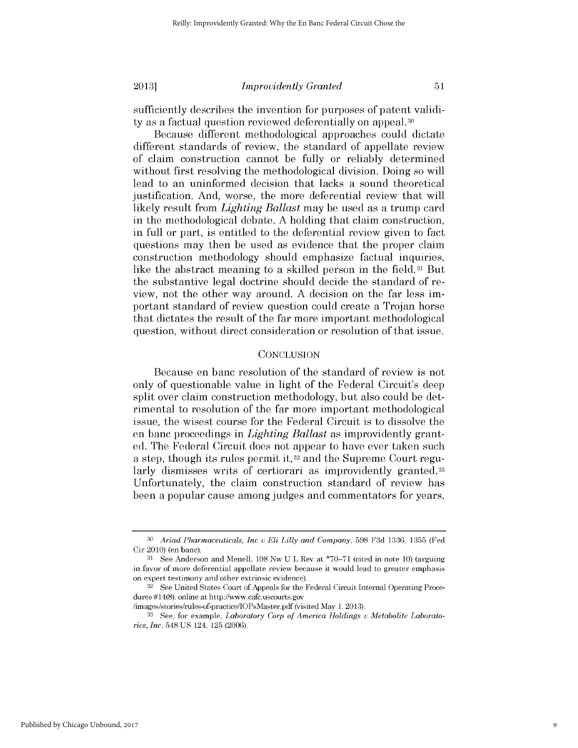sufficiently describes the invention for purposes of patent validity as a factual question reviewed deferentially on appeal.<sup>30</sup>

Because different methodological approaches could dictate different standards of review, the standard of appellate review of claim construction cannot be fully or reliably determined without first resolving the methodological division. Doing so will lead to an uninformed decision that lacks a sound theoretical justification. And, worse, the more deferential review that will likely result from *Lighting Ballast* may be used as a trump card in the methodological debate. **A** holding that claim construction, in full or part, is entitled to the deferential review given to fact questions may then be used as evidence that the proper claim construction methodology should emphasize factual inquiries, like the abstract meaning to a skilled person in the field.31 But the substantive legal doctrine should decide the standard of review, not the other way around. **A** decision on the far *less im*portant standard of review question could create a Trojan horse that dictates the result of the far more important methodological question, without direct consideration or resolution of that issue.

## **CONCLUSION**

Because en banc resolution of the standard of review is not only of questionable value in light of the Federal Circuit's deep split over claim construction methodology, but also could be detrimental to resolution of the far more important methodological issue, the wisest course for the Federal Circuit is to dissolve the en banc proceedings in *Lighting Ballast* as improvidently granted. The Federal Circuit does not appear to have ever taken such a step, though its rules permit **it,32** and the Supreme Court regularly dismisses writs of certiorari as improvidently granted.<sup>33</sup> Unfortunately, the claim construction standard of review has been a popular cause among judges and commentators for years,

**<sup>30</sup>** *Ariad Pharmaceuticals, Inc u Eli Lilly and Company,* **598 F3d 1336, 1355** (Fed Cir 2010) (en banc).

**<sup>31</sup>** See Anderson and Menell, **108** Nw **U** L Rev at **\*70-71** (cited in note **10)** (arguing in favor of more deferential appellate review because it would lead to greater emphasis on expert testimony and other extrinsic evidence).

**<sup>32</sup> See** United States Court of Appeals for the Federal Circuit Internal Operating Procedures #14(8), online at http://www.cafe.uscourts.gov

<sup>/</sup>images/stories/rules-of-practice/IOPsMaster.pdf (visited May **1, 2013).**

**<sup>33</sup>** See, for example, *Laboratory Corp of America Holdings u Metabolite Laboratories, Inc,* 548 **US** 124, **125 (2006).**